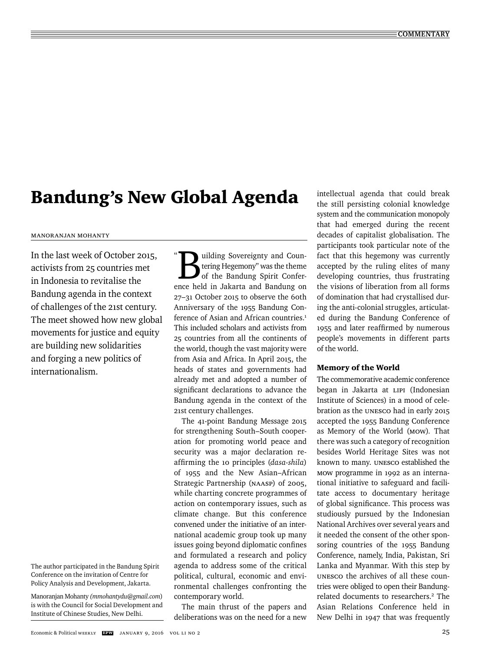# Bandung's New Global Agenda

# Manoranjan Mohanty

In the last week of October 2015, activists from 25 countries met in Indonesia to revitalise the Bandung agenda in the context of challenges of the 21st century. The meet showed how new global movements for justice and equity are building new solidarities and forging a new politics of internationalism.

The author participated in the Bandung Spirit Conference on the invitation of Centre for Policy Analysis and Development, Jakarta.

Manoranjan Mohanty *(mmohantydu@gmail.com*) is with the Council for Social Development and Institute of Chinese Studies, New Delhi.

 $\ddot{\phantom{0}}$ **Building Sovereignty and Counting Hegemony**" was the theme<br>of the Bandung Spirit Confertering Hegemony" was the theme of the Bandung Spirit Conference held in Jakarta and Bandung on 27–31 October 2015 to observe the 60th Anniversary of the 1955 Bandung Conference of Asian and African countries.<sup>1</sup> This included scholars and activists from 25 countries from all the continents of the world, though the vast majority were from Asia and Africa. In April 2015, the heads of states and governments had already met and adopted a number of significant declarations to advance the Bandung agenda in the context of the 21st century challenges.

The 41-point Bandung Message 2015 for strengthening South–South cooperation for promoting world peace and security was a major declaration reaffirming the 10 principles (dasa-shila) of 1955 and the New Asian–African Strategic Partnership (NAASP) of 2005, while charting concrete programmes of action on contemporary issues, such as climate change. But this conference convened under the initiative of an international academic group took up many issues going beyond diplomatic confines and formulated a research and policy agenda to address some of the critical political, cultural, economic and environmental challenges confronting the contemporary world.

The main thrust of the papers and deliberations was on the need for a new intellectual agenda that could break the still persisting colonial knowledge system and the communication monopoly that had emerged during the recent decades of capitalist globalisation. The participants took particular note of the fact that this hegemony was currently accepted by the ruling elites of many developing countries, thus frustrating the visions of liberation from all forms of domination that had crystallised during the anti-colonial struggles, articulated during the Bandung Conference of 1955 and later reaffirmed by numerous people's movements in different parts of the world.

# Memory of the World

The commemorative academic conference began in Jakarta at LIPI (Indonesian Institute of Sciences) in a mood of celebration as the UNESCO had in early 2015 accepted the 1955 Bandung Conference as Memory of the World (MOW)*.* That there was such a category of recognition besides World Heritage Sites was not known to many. UNESCO established the MOW programme in 1992 as an international initiative to safeguard and facilitate access to documentary heritage of global significance. This process was studiously pursued by the Indonesian National Archives over several years and it needed the consent of the other sponsoring countries of the 1955 Bandung Conference, namely, India, Pakistan, Sri Lanka and Myanmar. With this step by UNESCO the archives of all these countries were obliged to open their Bandungrelated documents to researchers.<sup>2</sup> The Asian Relations Conference held in New Delhi in 1947 that was frequently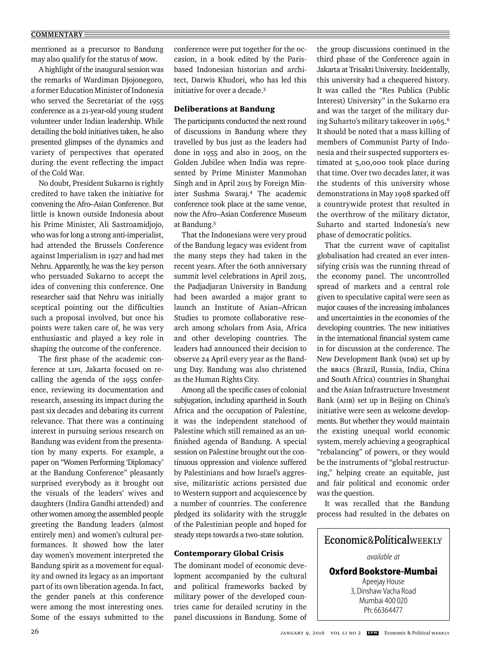### **COMMENTARY**

mentioned as a precursor to Bandung may also qualify for the status of MOW.

A highlight of the inaugural session was the remarks of Wardiman Djojonegoro, a former Education Minister of Indonesia who served the Secretariat of the 1955 conference as a 21-year-old young student volunteer under Indian leadership. While detailing the bold initiatives taken, he also presented glimpses of the dynamics and variety of perspectives that operated during the event reflecting the impact of the Cold War.

No doubt, President Sukarno is rightly credited to have taken the initiative for convening the Afro–Asian Conference. But little is known outside Indonesia about his Prime Minister, Ali Sastroamidjojo, who was for long a strong anti-imperialist, had attended the Brussels Conference against Imperialism in 1927 and had met Nehru. Apparently, he was the key person who persuaded Sukarno to accept the idea of convening this conference. One researcher said that Nehru was initially sceptical pointing out the difficulties such a proposal involved, but once his points were taken care of, he was very enthusiastic and played a key role in shaping the outcome of the conference.

The first phase of the academic conference at LIPI, Jakarta focused on recalling the agenda of the 1955 conference, reviewing its documentation and research, assessing its impact during the past six decades and debating its current relevance. That there was a continuing interest in pursuing serious research on Bandung was evident from the presentation by many experts. For example, a paper on "Women Performing 'Diplomacy' at the Bandung Conference" pleasantly surprised everybody as it brought out the visuals of the leaders' wives and daughters (Indira Gandhi attended) and other women among the assembled people greeting the Bandung leaders (almost entirely men) and women's cultural performances. It showed how the later day women's movement interpreted the Bandung spirit as a movement for equality and owned its legacy as an important part of its own liberation agenda. In fact, the gender panels at this conference were among the most interesting ones. Some of the essays submitted to the

conference were put together for the occasion, in a book edited by the Parisbased Indonesian historian and architect, Darwis Khudori, who has led this initiative for over a decade.3

# Deliberations at Bandung

The participants conducted the next round of discussions in Bandung where they travelled by bus just as the leaders had done in 1955 and also in 2005, on the Golden Jubilee when India was represented by Prime Minister Manmohan Singh and in April 2015 by Foreign Minister Sushma Swaraj.4 The academic conference took place at the same venue, now the Afro–Asian Conference Museum at Bandung.5

That the Indonesians were very proud of the Bandung legacy was evident from the many steps they had taken in the recent years. After the 60th anniversary summit level celebrations in April 2015, the Padjadjaran University in Bandung had been awarded a major grant to launch an Institute of Asian–African Studies to promote collaborative research among scholars from Asia, Africa and other developing countries. The leaders had announced their decision to observe 24 April every year as the Bandung Day. Bandung was also christened as the Human Rights City.

Among all the specific cases of colonial subjugation, including apartheid in South Africa and the occupation of Palestine, it was the independent statehood of Palestine which still remained as an unfinished agenda of Bandung. A special session on Palestine brought out the continuous oppression and violence suffered by Palestinians and how Israel's aggressive, militaristic actions persisted due to Western support and acquiescence by a number of countries. The conference pledged its solidarity with the struggle of the Palestinian people and hoped for steady steps towards a two-state solution.

# Contemporary Global Crisis

The dominant model of economic development accompanied by the cultural and political frameworks backed by military power of the developed countries came for detailed scrutiny in the panel discussions in Bandung. Some of the group discussions continued in the third phase of the Conference again in Jakarta at Trisakti University. Incidentally, this university had a chequered history. It was called the "Res Publica (Public Interest) University" in the Sukarno era and was the target of the military during Suharto's military takeover in 1965.6 It should be noted that a mass killing of members of Communist Party of Indonesia and their suspected supporters estimated at 5,00,000 took place during that time. Over two decades later, it was the students of this university whose demonstrations in May 1998 sparked off a countrywide protest that resulted in the overthrow of the military dictator, Suharto and started Indonesia's new phase of democratic politics.

That the current wave of capitalist globalisation had created an ever intensifying crisis was the running thread of the economy panel. The uncontrolled spread of markets and a central role given to speculative capital were seen as major causes of the increasing imbalances and uncertainties in the economies of the developing countries. The new initiatives in the international financial system came in for discussion at the conference. The New Development Bank (NDB) set up by the BRICS (Brazil, Russia, India, China and South Africa) countries in Shanghai and the Asian Infrastructure Investment Bank (AIIB) set up in Beijing on China's initiative were seen as welcome developments. But whether they would maintain the existing unequal world economic system, merely achieving a geographical "rebalancing" of powers, or they would be the instruments of "global restructuring," helping create an equitable, just and fair political and economic order was the question.

It was recalled that the Bandung process had resulted in the debates on

Economic&PoliticalWEEKLY *available at* **Oxford Bookstore-Mumbai** Apeejay House 3, Dinshaw Vacha Road Mumbai 400 020 Ph: 66364477